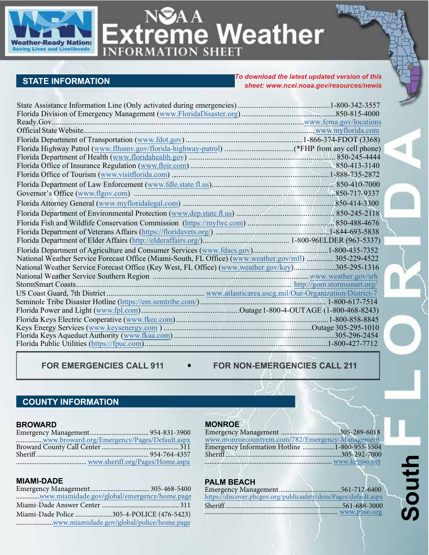

NSAA<br>Extreme Weather

# **STATE INFORMATION**

#### *To download the latest updated version of this sheet: www.[ncei.noaa.gov/resources/newis](https://www.ngdc.noaa.gov/newis/)*

| National Weather Service Forecast Office (Miami-South, FL Office) (www.weather.gov/mfl)  305-229-4522 |  |
|-------------------------------------------------------------------------------------------------------|--|
| National Weather Service Forecast Office (Key West, FL Office) (www.weather.gov/key)305-295-1316      |  |
|                                                                                                       |  |
|                                                                                                       |  |
|                                                                                                       |  |
|                                                                                                       |  |
|                                                                                                       |  |
|                                                                                                       |  |
|                                                                                                       |  |
|                                                                                                       |  |
|                                                                                                       |  |

FOR EMERGENCIES CALL 911  $\bullet$  FOR NON-EMERGENCIES CALL 211

# **COUNTY INFORMATION**

#### **BROWARD**

| www.broward.org/Emergency/Pages/Default.aspx |  |
|----------------------------------------------|--|
|                                              |  |
|                                              |  |
|                                              |  |

#### **MIAMI-DADE**

| www.miamidade.gov/global/emergency/home.page |  |
|----------------------------------------------|--|
|                                              |  |
| Miami-Dade Police 305-4-POLICE (476-5423)    |  |
| www.miamidade.gov/global/police/home.page    |  |

## **MONROE**

| www.monroecountyem.com/782/Emergency-Management |  |
|-------------------------------------------------|--|
| Emergency Information Hotline 1-800-955-5504    |  |
|                                                 |  |
| www.keysso.net                                  |  |

#### **PALM BEACH**

| https://discover.pbcgov.org/publicsafety/dem/Pages/default.aspx |  |
|-----------------------------------------------------------------|--|
|                                                                 |  |
|                                                                 |  |
|                                                                 |  |

# **South**